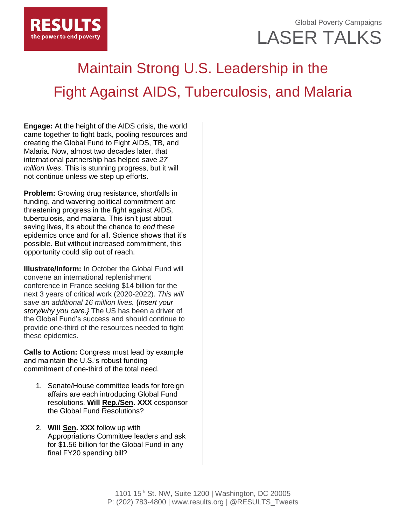

## Global Poverty Campaigns LASER TALKS

## Maintain Strong U.S. Leadership in the Fight Against AIDS, Tuberculosis, and Malaria

**Engage:** At the height of the AIDS crisis, the world came together to fight back, pooling resources and creating the Global Fund to Fight AIDS, TB, and Malaria. Now, almost two decades later, that international partnership has helped save *27 million lives*. This is stunning progress, but it will not continue unless we step up efforts.

**Problem:** Growing drug resistance, shortfalls in funding, and wavering political commitment are threatening progress in the fight against AIDS, tuberculosis, and malaria. This isn't just about saving lives, it's about the chance to *end* these epidemics once and for all. Science shows that it's possible. But without increased commitment, this opportunity could slip out of reach.

**Illustrate/Inform:** In October the Global Fund will convene an international replenishment conference in France seeking \$14 billion for the next 3 years of critical work (2020-2022). *This will save an additional 16 million lives.* {*Insert your story/why you care.}* The US has been a driver of the Global Fund's success and should continue to provide one-third of the resources needed to fight these epidemics.

**Calls to Action:** Congress must lead by example and maintain the U.S.'s robust funding commitment of one-third of the total need.

- 1. Senate/House committee leads for foreign affairs are each introducing Global Fund resolutions. **Will Rep./Sen. XXX** cosponsor the Global Fund Resolutions?
- 2. **Will Sen. XXX** follow up with Appropriations Committee leaders and ask for \$1.56 billion for the Global Fund in any final FY20 spending bill?